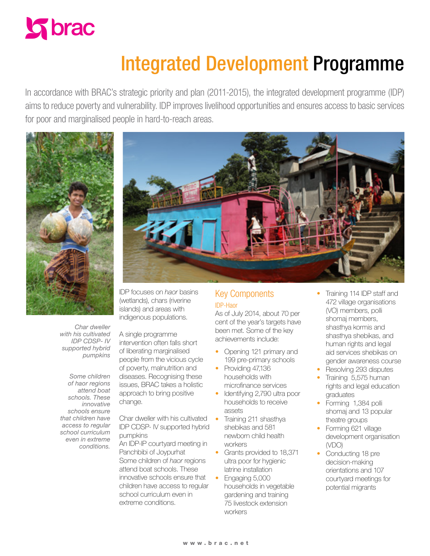

# Integrated Development Programme

In accordance with BRAC's strategic priority and plan (2011-2015), the integrated development programme (IDP) aims to reduce poverty and vulnerability. IDP improves livelihood opportunities and ensures access to basic services for poor and marginalised people in hard-to-reach areas.



*Char dweller with his cultivated IDP CDSP- IV supported hybrid pumpkins*

*Some children of haor regions attend boat schools. These innovative schools ensure that children have access to regular school curriculum even in extreme conditions.*

IDP focuses on *haor* basins (wetlands), chars (riverine islands) and areas with indigenous populations.

A single programme intervention often falls short of liberating marginalised people from the vicious cycle of poverty, malnutrition and diseases. Recognising these issues, BRAC takes a holistic approach to bring positive change.

Char dweller with his cultivated IDP CDSP- IV supported hybrid pumpkins

An IDP-IP courtyard meeting in Panchbibi of Joypurhat Some children of *haor* regions attend boat schools. These innovative schools ensure that children have access to regular school curriculum even in extreme conditions.

## Key Components IDP-Haor

As of July 2014, about 70 per cent of the year's targets have been met. Some of the key achievements include:

- Opening 121 primary and 199 pre-primary schools
- Providing 47,136 households with microfinance services
- Identifying 2,790 ultra poor households to receive assets
- Grants provided to 18,371 ultra poor for hygienic latrine installation
- Engaging 5,000 households in vegetable gardening and training 75 livestock extension workers
- Training 114 IDP staff and 472 village organisations (VO) members, polli shomaj members, shasthya kormis and shasthya shebikas, and human rights and legal aid services shebikas on gender awareness course
- Resolving 293 disputes • Training 5,575 human rights and legal education graduates
- Forming 1,384 polli shomaj and 13 popular theatre groups
- Forming 621 village development organisation (VDO)
- Conducting 18 pre decision-making orientations and 107 courtyard meetings for potential migrants

• Training 211 shasthya shebikas and 581 newborn child health workers